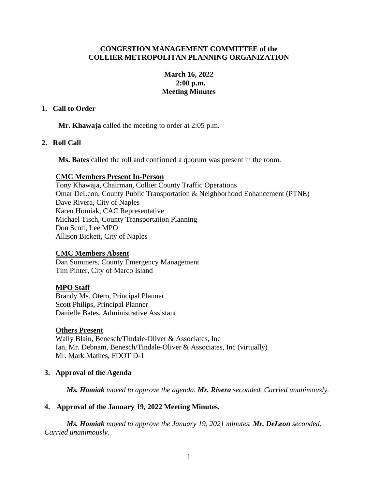## **CONGESTION MANAGEMENT COMMITTEE of the COLLIER METROPOLITAN PLANNING ORGANIZATION**

## **March 16, 2022 2:00 p.m. Meeting Minutes**

## **1. Call to Order**

**Mr. Khawaja** called the meeting to order at 2:05 p.m.

# **2. Roll Call**

**Ms. Bates** called the roll and confirmed a quorum was present in the room.

## **CMC Members Present In-Person**

Tony Khawaja, Chairman, Collier County Traffic Operations Omar DeLeon, County Public Transportation & Neighborhood Enhancement (PTNE) Dave Rivera, City of Naples Karen Homiak, CAC Representative Michael Tisch, County Transportation Planning Don Scott, Lee MPO Allison Bickett, City of Naples

# **CMC Members Absent**

Dan Summers, County Emergency Management Tim Pinter, City of Marco Island

# **MPO Staff**

Brandy Ms. Otero, Principal Planner Scott Philips, Principal Planner Danielle Bates, Administrative Assistant

## **Others Present**

Wally Blain, Benesch/Tindale-Oliver & Associates, Inc Ian, Mr. Debnam, Benesch/Tindale-Oliver & Associates, Inc (virtually) Mr. Mark Mathes, FDOT D-1

# **3. Approval of the Agenda**

*Ms. Homiak moved to approve the agenda. Mr. Rivera seconded. Carried unanimously.*

# **4. Approval of the January 19, 2022 Meeting Minutes.**

*Ms. Homiak moved to approve the January 19, 2021 minutes. Mr. DeLeon seconded. Carried unanimously.*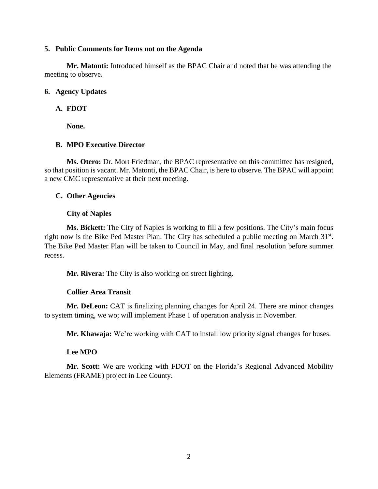#### **5. Public Comments for Items not on the Agenda**

**Mr. Matonti:** Introduced himself as the BPAC Chair and noted that he was attending the meeting to observe.

#### **6. Agency Updates**

### **A. FDOT**

**None.**

## **B. MPO Executive Director**

**Ms. Otero:** Dr. Mort Friedman, the BPAC representative on this committee has resigned, so that position is vacant. Mr. Matonti, the BPAC Chair, is here to observe. The BPAC will appoint a new CMC representative at their next meeting.

## **C. Other Agencies**

#### **City of Naples**

**Ms. Bickett:** The City of Naples is working to fill a few positions. The City's main focus right now is the Bike Ped Master Plan. The City has scheduled a public meeting on March 31<sup>st</sup>. The Bike Ped Master Plan will be taken to Council in May, and final resolution before summer recess.

**Mr. Rivera:** The City is also working on street lighting.

## **Collier Area Transit**

**Mr. DeLeon:** CAT is finalizing planning changes for April 24. There are minor changes to system timing, we wo; will implement Phase 1 of operation analysis in November.

**Mr. Khawaja:** We're working with CAT to install low priority signal changes for buses.

#### **Lee MPO**

**Mr. Scott:** We are working with FDOT on the Florida's Regional Advanced Mobility Elements (FRAME) project in Lee County.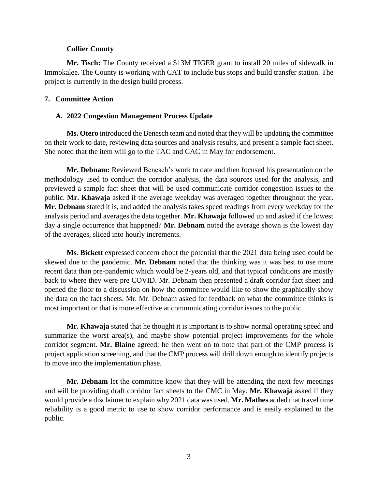#### **Collier County**

**Mr. Tisch:** The County received a \$13M TIGER grant to install 20 miles of sidewalk in Immokalee. The County is working with CAT to include bus stops and build transfer station. The project is currently in the design build process.

#### **7. Committee Action**

#### **A. 2022 Congestion Management Process Update**

**Ms. Otero** introduced the Benesch team and noted that they will be updating the committee on their work to date, reviewing data sources and analysis results, and present a sample fact sheet. She noted that the item will go to the TAC and CAC in May for endorsement.

**Mr. Debnam:** Reviewed Benesch's work to date and then focused his presentation on the methodology used to conduct the corridor analysis, the data sources used for the analysis, and previewed a sample fact sheet that will be used communicate corridor congestion issues to the public. **Mr. Khawaja** asked if the average weekday was averaged together throughout the year. **Mr. Debnam** stated it is, and added the analysis takes speed readings from every weekday for the analysis period and averages the data together. **Mr. Khawaja** followed up and asked if the lowest day a single occurrence that happened? **Mr. Debnam** noted the average shown is the lowest day of the averages, sliced into hourly increments.

**Ms. Bickett** expressed concern about the potential that the 2021 data being used could be skewed due to the pandemic. **Mr. Debnam** noted that the thinking was it was best to use more recent data than pre-pandemic which would be 2-years old, and that typical conditions are mostly back to where they were pre COVID. Mr. Debnam then presented a draft corridor fact sheet and opened the floor to a discussion on how the committee would like to show the graphically show the data on the fact sheets. Mr. Mr. Debnam asked for feedback on what the committee thinks is most important or that is more effective at communicating corridor issues to the public.

**Mr. Khawaja** stated that he thought it is important is to show normal operating speed and summarize the worst area(s), and maybe show potential project improvements for the whole corridor segment. **Mr. Blaine** agreed; he then went on to note that part of the CMP process is project application screening, and that the CMP process will drill down enough to identify projects to move into the implementation phase.

**Mr. Debnam** let the committee know that they will be attending the next few meetings and will be providing draft corridor fact sheets to the CMC in May. **Mr. Khawaja** asked if they would provide a disclaimer to explain why 2021 data was used. **Mr. Mathes** added that travel time reliability is a good metric to use to show corridor performance and is easily explained to the public.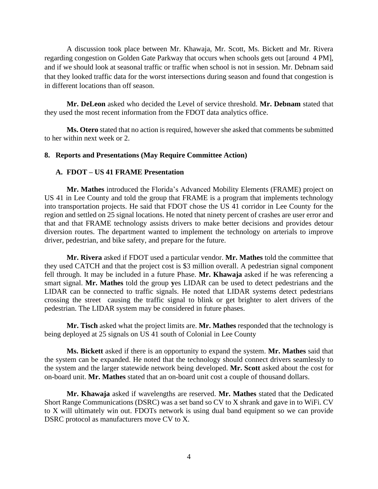A discussion took place between Mr. Khawaja, Mr. Scott, Ms. Bickett and Mr. Rivera regarding congestion on Golden Gate Parkway that occurs when schools gets out [around 4 PM], and if we should look at seasonal traffic or traffic when school is not in session. Mr. Debnam said that they looked traffic data for the worst intersections during season and found that congestion is in different locations than off season.

**Mr. DeLeon** asked who decided the Level of service threshold. **Mr. Debnam** stated that they used the most recent information from the FDOT data analytics office.

**Ms. Otero** stated that no action is required, however she asked that comments be submitted to her within next week or 2.

## **8. Reports and Presentations (May Require Committee Action)**

## **A. FDOT – US 41 FRAME Presentation**

**Mr. Mathes** introduced the Florida's Advanced Mobility Elements (FRAME) project on US 41 in Lee County and told the group that FRAME is a program that implements technology into transportation projects. He said that FDOT chose the US 41 corridor in Lee County for the region and settled on 25 signal locations. He noted that ninety percent of crashes are user error and that and that FRAME technology assists drivers to make better decisions and provides detour diversion routes. The department wanted to implement the technology on arterials to improve driver, pedestrian, and bike safety, and prepare for the future.

**Mr. Rivera** asked if FDOT used a particular vendor. **Mr. Mathes** told the committee that they used CATCH and that the project cost is \$3 million overall. A pedestrian signal component fell through. It may be included in a future Phase. **Mr. Khawaja** asked if he was referencing a smart signal. **Mr. Mathes** told the group **y**es LIDAR can be used to detect pedestrians and the LIDAR can be connected to traffic signals. He noted that LIDAR systems detect pedestrians crossing the street causing the traffic signal to blink or get brighter to alert drivers of the pedestrian. The LIDAR system may be considered in future phases.

**Mr. Tisch** asked what the project limits are. **Mr. Mathes** responded that the technology is being deployed at 25 signals on US 41 south of Colonial in Lee County

**Ms. Bickett** asked if there is an opportunity to expand the system. **Mr. Mathes** said that the system can be expanded. He noted that the technology should connect drivers seamlessly to the system and the larger statewide network being developed. **Mr. Scott** asked about the cost for on-board unit. **Mr. Mathes** stated that an on-board unit cost a couple of thousand dollars.

**Mr. Khawaja** asked if wavelengths are reserved. **Mr. Mathes** stated that the Dedicated Short Range Communications (DSRC) was a set band so CV to X shrank and gave in to WiFi. CV to X will ultimately win out. FDOTs network is using dual band equipment so we can provide DSRC protocol as manufacturers move CV to X.